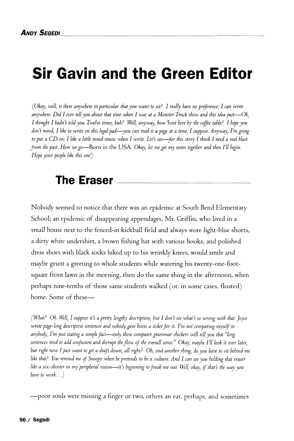## **Sir Gavin and the Green Editor**

*(Okay, well, is there anywhere in particular that you want to sit? I really have no preference; I can write anywhere. Did I ever tell you about that time when I was at a Monster Truck show and this idea just*—*Oh, I thought I hadn't told you. Twelve times, huh? Well, anyway, how %out here hy the coffee table? I hope you don't mind, I like to write on this legal pad*—*you can read it a page at a time, I suppose. Anyway, I'm going to put a CD on; I like a little mood music when I write. Let's see*—*-for this story I think I need a real blast from the past. Here we go*—Born in the USA . *Okay, let me get my notes together and then I'll begin. Hope your people like this one!)* 

## **The Eraser**

Nobody seemed to notice that there was an epidemic at South Bend Elementary School; an epidemic of disappearing appendages. Mr. Griffin, who lived in a small house next to the fenced-in kickball field and always wore light-blue shorts, a dirty white undershirt, a brown fishing hat with various hooks, and polished dress shoes with black socks hiked up to his wrinkly knees, would smile and maybe grunt a greeting to whole students while watering his twenty-one-footsquare front lawn in the morning, then do the same thing in the afternoon, when perhaps nine-tenths of those same students walked (or, in some cases, floated) home. Some of these—

*(What? Oh. Well, I suppose it's a pretty lengthy description, but I don't see what's so wrong with that. Joyce wrote page-long descriptive sentences and nobody gave* him *a ticket for it. I'm not comparing myself to anybody, I'm just stating a simple fact*—*only those computer grammar checkers will tell you that "long sentences tend to add confusion and disrupt the flow of the overall sense." Okay, maybe I'll look it over later, but right now I just want to get a draft down, all right? Oh, and another thing, do you have to sit behind me like that? You remind me of Snoopy when he pretends to be a vulture. And I can see you holding that eraser like a six-shooter in my peripheral vision*—*it's beginning to freak me out. Well, okay, if that's the way you have to work...)* 

—poor souls were missing a finger or two, others an ear, perhaps, and sometimes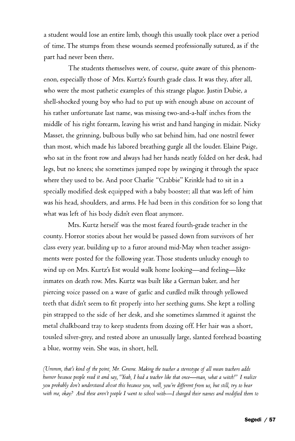a student would lose an entire limb, though this usually took place over a period of time. The stumps from these wounds seemed professionally sutured, as if the part had never been there.

The students themselves were, of course, quite aware of this phenomenon, especially those of Mrs. Kurtz's fourth grade class. It was they, after all, who were the most pathetic examples of this strange plague. Justin Dubie, a shell-shocked young boy who had to put up with enough abuse on account of his rather unfortunate last name, was missing two-and-a-half inches from the middle of his right forearm, leaving his wrist and hand hanging in midair. Nicky Masset, the grinning, bulbous bully who sat behind him, had one nostril fewer than most, which made his labored breathing gurgle all the louder. Elaine Paige, who sat in the front row and always had her hands neatly folded on her desk, had legs, but no knees; she sometimes jumped rope by swinging it through the space where they used to be. And poor Charlie "Crabbie" Krinkle had to sit in a specially modified desk equipped with a baby booster; all that was left of him was his head, shoulders, and arms. He had been in this condition for so long that what was left of his body didn't even float anymore.

Mrs. Kurtz herself was the most feared fourth-grade teacher in the county. Horror stories about her would be passed down from survivors of her class every year, building up to a furor around mid-May when teacher assignments were posted for the following year. Those students unlucky enough to wind up on Mrs. Kurtz's list would walk home looking—and feeling—like inmates on death row. Mrs. Kurtz was built like a German baker, and her piercing *voice* passed on a wave of garlic and curdled milk through yellowed teeth that didn't seem to fit properly into her seething gums. She kept a rolling pin strapped to the side of her desk, and she sometimes slammed it against the metal chalkboard tray to keep students from dozing off. Her hair was a short, tousled silver-grey, and rested above an unusually large, slanted forehead boasting a blue, wormy vein. She was, in short, hell.

*(XJmmm, thart kind of the point, Mr. Greene. Making the teacher a stereotype of all mean teachers adds humor because people read it and say, "Yeah, I had a teacher like that once*—*man, what a witch!" I realize you probably dont understand about this because you, well, you re different from us, but still, try to bear with me, okay? And these arent people I went to school with*—*I changed their names and modified them to*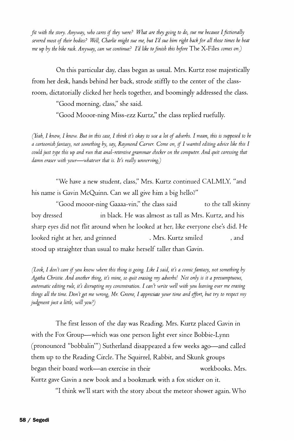*fit with the story. Anyway, who cares if they were? What are they going to do, sue me because I fictionally severed most of their bodies? Well, Charlie might sue me, but Vd sue him right back for all those times he beat me up by the bike rack. Anyway, can we continue? I'd like to finish this before* The X-Files *comes on.*)

On this particular day, class began as usual. Mrs. Kurtz rose majestically from her desk, hands behind her back, strode stiffly to the center of the classroom, dictatorially clicked her heels together, and boomingly addressed the class.

"Good morning, class," she said.

"Good Mooor-ning Miss-ezz Kurtz," the class replied ruefully.

*(Yeah, I know, I know. But in this case, I think it's okay to use a lot of adverbs. I mean, this is supposed to be a cartoonish fantasy, not something by, say, Raymond Carver. Come on, if I wanted editing advice like this I*  could just type this up and run that anal-retentive grammar checker on the computer. And quit caressing that *damn eraser with your*—*whatever that is. It's really unnerving.)* 

"We have a new student, class," Mrs. Kurtz continued CALMLY, "and his name is Gavin McQuinn. Can we all give him a big hello?"

"Good mooor-ning Gaaaa-vin," the class said to the tall skinny boy dressed in black. He was almost as tall as Mrs. Kurtz, and his sharp eyes did not flit around when he looked at her, like everyone else's did. He looked right at her, and grinned . Mrs. Kurtz smiled , and stood up straighter than usual to make herself taller than Gavin.

*(Look, I don't care if you know where this thing is going. Like I said, it's a comic fantasy, not something by Agatha Christie. And another thing, it's mine, so quit erasing my adverbs! Not only is it a presumptuous, automatic editing rule, it's disrupting my concentration. I can't write well with you leaning over me erasing things all the time. Don't get me wrong, Mr. Greene, I appreciate your time and effort, but try to respect my judgment just a little, will you?)* 

The first lesson of the day was Reading. Mrs. Kurtz placed Gavin in with the Fox Group—which was one person light ever since Bobbie-Lynn (pronounced "bobbalin'") Sutherland disappeared a few weeks ago—and called them up to the Reading Circle. The Squirrel, Rabbit, and Skunk groups began their board work—an exercise in their workbooks. Mrs. Kurtz gave Gavin a new book and a bookmark with a fox sticker on it.

"I think we'll start with the story about the meteor shower again. Who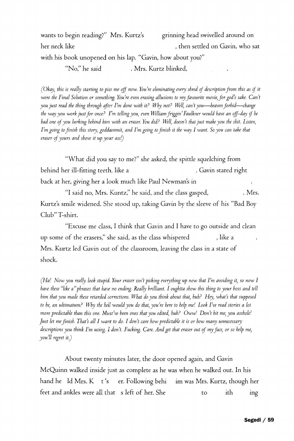wants to begin reading?" Mrs. Kurtz's grinning head swivelled around on her neck like , then settled on Gavin, who sat with his book unopened on his lap. "Gavin, how about you?" "No," he said . Mrs. Kurtz blinked,

*(Okay, this is really starting to piss me off now. You're eliminating every shred of description from this as if it were the Final Solution or something. You're even erasing allusions to my favourite movie, for god's sake. Can't you just read the thing through after Fm done with it? Why not? Well, can t you*—*heaven forhid*—*change the way you work just for once? Fm telling you, even William friggin Faulkner would have an off-day if he had one of you lurking behind him with an eraser. You did? Well, doesn't that just make you the shit. Fisten, Fm going to finish this story, goddammit, and Fm going to finish it the way I want. So you can take that eraser of yours and shove it up your ass!)* 

"What did you say to me?" she asked, the spittle squelching from behind her ill-fitting teeth, like a . Gavin stared right back at her, giving her a look much like Paul Newman's in

"I said no, Mrs. Kuntz," he said, and the class gasped, . Mrs. Kurtz's smile widened. She stood up, taking Gavin by the sleeve of his "Bad Boy Club" T-shirt.

"Excuse me class, I think that Gavin and I have to go outside and clean up some of the erasers," she said, as the class whispered , like a Mrs. Kurtz led Gavin out of the classroom, leaving the class in a state of shock.

*(Hal Now you really look stupid. Your eraser isn't picking everything up now that Fm avoiding it, so now I have these "like a"phrases that have no ending. Really brilliant. I oughtta show this thing to your boss and tell him that you made these retarded corrections. What do you think about that, huh? Hey, what's that supposed to be, an ultimatum? Why the hell would you do that, you're here to help me! Look Fve read stories a lot more predictable than this one. Must've been ones that you edited, huh? Oww! Don't hit me, you asshole! Just let me finish. Fhat's all I want to do. I don't care how predictable it is or how many unnecessary descriptions you think Fm using. I don't. Fucking. Care. And get that eraser out of my face, or so help me, you'll regret it.)* 

About twenty minutes later, the door opened again, and Gavin McQuinn walked inside just as complete as he was when he walked out. In his hand he Id Mrs. K t 's er. Following behi im was Mrs. Kurtz, though her feet and ankles were all that s left of her. She to ith ing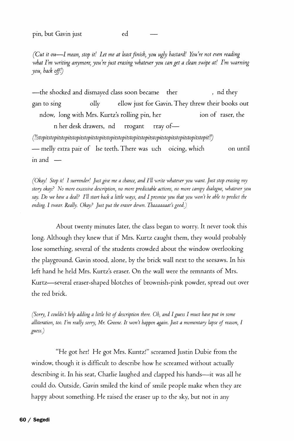*(Cut it ou*—*I mean, stop it! Let me at least finish, you ugly bastard! You're not even reading what Vm writing anymore, you're just erasing whatever you can get a clean swipe at! Vm warning you, hack off!)* 

—the shocked and dismayed class soon became ther , nd they gan to sing oilly ellow just for Gavin. They threw their books out ndow, long with Mrs. Kurtz's rolling pin, her ion of raser, the n her desk drawers, nd rrogant rray of— *(!!stopitstopitstopitstopitstopitstopitstopitstopitstopitstopitstopitstopits^*  — melly extra pair of lse teeth. There was uch oicing, which on until in and —

*(Okay! Stop it! I surrender! Just give me a chance, and I'll write whatever you want. Just stop erasing my story okay? No more excessive description, no more predictable actions, no more campy dialogue, whatever you*  say. Do we have a deal? I'll start back a little ways, and I promise you that you won't be able to predict the *ending. I swear. Really. Okay? Just put the eraser down. Thaaaaaaat's good)* 

About twenty minutes later, the class began to worry. It never took this long. Although they knew that if Mrs. Kurtz caught them, they would probably lose something, several of the students crowded about the window overlooking the playground. Gavin stood, alone, by the brick wall next to the seesaws. In his left hand he held Mrs. Kurtz's eraser. On the wall were the remnants of Mrs. Kurtz—several eraser-shaped blotches of brownish-pink powder, spread out over the red brick.

*(Sorry, I couldn't help adding a little bit of description there. Oh, and I guess I must have put in some alliteration, too. I'm really sorry, Mr. Greene. It won't happen again. Just a momentary lapse of reason, I guess.)* 

"He got her! He got Mrs. Kuntz!" screamed Justin Dubie from the window, though it is difficult to describe how he screamed without actually describing it. In his seat, Charlie laughed and clapped his hands—it was all he could do. Outside, Gavin smiled the kind *of* smile people make when they are happy about something. He raised the eraser up to the sky, but not in any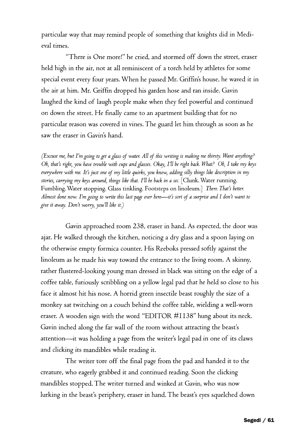particular way that may remind people of something that knights did *in* Medieval times.

"There is One more!" he cried, and stormed off down the street, eraser held high in the air, not at all reminiscent of a torch held by athletes for some special event every four years. When he passed Mr. Griffin's house, he waved it in the air at him. Mr. Griffin dropped his garden hose and ran inside. Gavin laughed the kind of laugh people make when they feel powerful and continued on down the street. He finally came to an apartment building that for no particular reason was covered in vines. The guard let him through as soon as he saw the eraser in Gavin's hand.

*(Excuse me, hut Fm going to get a glass of water. All of this writing is making me thirsty. Want anything? Oh, that's right, you have trouble with cups and glasses. Okay, Fll be right back. What? Oh, I take my keys everywhere with me. It's just one of my little quirks, you know, adding silly things like description in my stories, carrying my keys around, things like that. Fll be back in a sec.* [Clunk. Water running. Fumbling. Water stopping. Glass tinkling. Footsteps on linoleum.] *There. That's better. Almost done now. Fm going to write this last page over here*—*it's sort of a surprise and I don't want to give it away. Don't worry, you'll like it.)* 

Gavin approached room 238, eraser in hand. As expected, the door was ajar. He walked through the kitchen, noticing a dry glass and a spoon laying on the otherwise empty formica counter. His Reeboks pressed softly against the linoleum as he made his way toward the entrance to the living room. A skinny, rather flustered-looking young man dressed in black was sitting on the edge of a *coffee* table, furiously scribbling on a yellow legal pad that he held so close to his face it almost hit his nose. A horrid green insectile beast roughly the size of a monkey sat twitching on a couch behind the coffee table, wielding a well-worn eraser. A wooden sign with the word "EDITOR #1138" hung about its neck. Gavin inched along the far wall of the room without attracting the beast's attention—it was holding a page from the writer's legal pad in one of its claws and clicking its mandibles while reading it.

The writer tore off the final page from the pad and handed it to the creature, who eagerly grabbed it and continued reading. Soon the clicking mandibles stopped. The writer turned and winked at Gavin, who was now lurking in the beast's periphery, eraser in hand. The beast's eyes squelched down